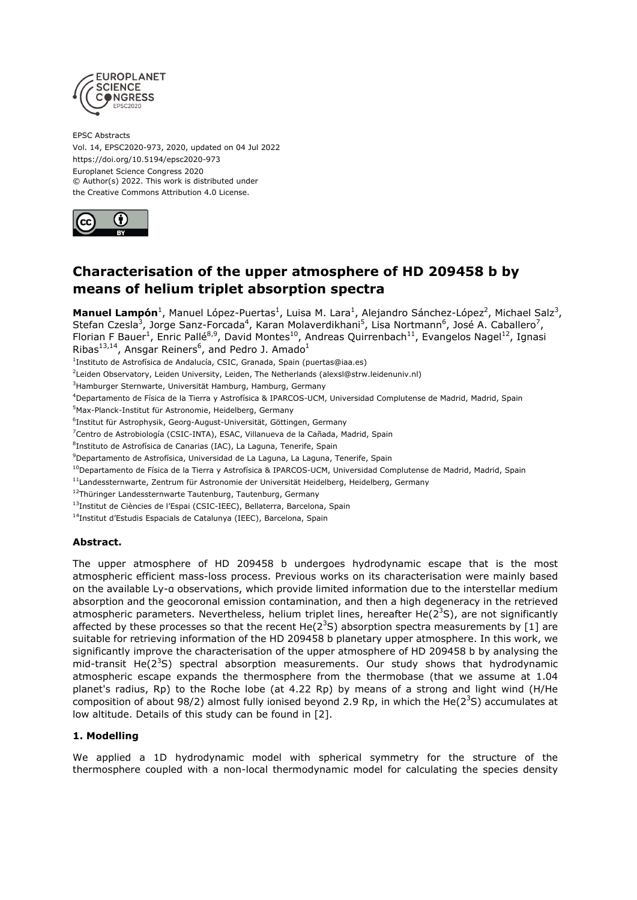

EPSC Abstracts Vol. 14, EPSC2020-973, 2020, updated on 04 Jul 2022 https://doi.org/10.5194/epsc2020-973 Europlanet Science Congress 2020 © Author(s) 2022. This work is distributed under the Creative Commons Attribution 4.0 License.



# **Characterisation of the upper atmosphere of HD 209458 b by means of helium triplet absorption spectra**

**Manuel Lampón**<sup>1</sup>, Manuel López-Puertas<sup>1</sup>, Luisa M. Lara<sup>1</sup>, Alejandro Sánchez-López<sup>2</sup>, Michael Salz<sup>3</sup>, Stefan Czesla<sup>3</sup>, Jorge Sanz-Forcada<sup>4</sup>, Karan Molaverdikhani<sup>5</sup>, Lisa Nortmann<sup>6</sup>, José A. Caballero<sup>7</sup>, Florian F Bauer<sup>1</sup>, Enric Pallé<sup>8,9</sup>, David Montes<sup>10</sup>, Andreas Quirrenbach<sup>11</sup>, Evangelos Nagel<sup>12</sup>, Ignasi Ribas<sup>13,14</sup>, Ansgar Reiners<sup>6</sup>, and Pedro J. Amado<sup>1</sup>

<sup>1</sup>Instituto de Astrofísica de Andalucía, CSIC, Granada, Spain (puertas@iaa.es)

2 Leiden Observatory, Leiden University, Leiden, The Netherlands (alexsl@strw.leidenuniv.nl)

<sup>3</sup>Hamburger Sternwarte, Universität Hamburg, Hamburg, Germany

<sup>4</sup>Departamento de Física de la Tierra y Astrofísica & IPARCOS-UCM, Universidad Complutense de Madrid, Madrid, Spain

<sup>5</sup>Max-Planck-Institut für Astronomie, Heidelberg, Germany

6 Institut für Astrophysik, Georg-August-Universität, Göttingen, Germany

<sup>7</sup>Centro de Astrobiología (CSIC-INTA), ESAC, Villanueva de la Cañada, Madrid, Spain

<sup>8</sup>Instituto de Astrofísica de Canarias (IAC), La Laguna, Tenerife, Spain

<sup>9</sup>Departamento de Astrofísica, Universidad de La Laguna, La Laguna, Tenerife, Spain

<sup>10</sup>Departamento de Física de la Tierra y Astrofísica & IPARCOS-UCM, Universidad Complutense de Madrid, Madrid, Spain

<sup>11</sup>Landessternwarte, Zentrum für Astronomie der Universität Heidelberg, Heidelberg, Germany

<sup>12</sup>Thüringer Landessternwarte Tautenburg, Tautenburg, Germany

<sup>13</sup>Institut de Ciències de l'Espai (CSIC-IEEC), Bellaterra, Barcelona, Spain

<sup>14</sup>Institut d'Estudis Espacials de Catalunya (IEEC), Barcelona, Spain

## **Abstract.**

The upper atmosphere of HD 209458 b undergoes hydrodynamic escape that is the most atmospheric efficient mass-loss process. Previous works on its characterisation were mainly based on the available Ly-α observations, which provide limited information due to the interstellar medium absorption and the geocoronal emission contamination, and then a high degeneracy in the retrieved atmospheric parameters. Nevertheless, helium triplet lines, hereafter He( $2<sup>3</sup>S$ ), are not significantly affected by these processes so that the recent He( $2<sup>3</sup>S$ ) absorption spectra measurements by [1] are suitable for retrieving information of the HD 209458 b planetary upper atmosphere. In this work, we significantly improve the characterisation of the upper atmosphere of HD 209458 b by analysing the mid-transit He( $2^3S$ ) spectral absorption measurements. Our study shows that hydrodynamic atmospheric escape expands the thermosphere from the thermobase (that we assume at 1.04 planet's radius, Rp) to the Roche lobe (at 4.22 Rp) by means of a strong and light wind (H/He composition of about 98/2) almost fully ionised beyond 2.9 Rp, in which the He( $2<sup>3</sup>S$ ) accumulates at low altitude. Details of this study can be found in [2].

## **1. Modelling**

We applied a 1D hydrodynamic model with spherical symmetry for the structure of the thermosphere coupled with a non-local thermodynamic model for calculating the species density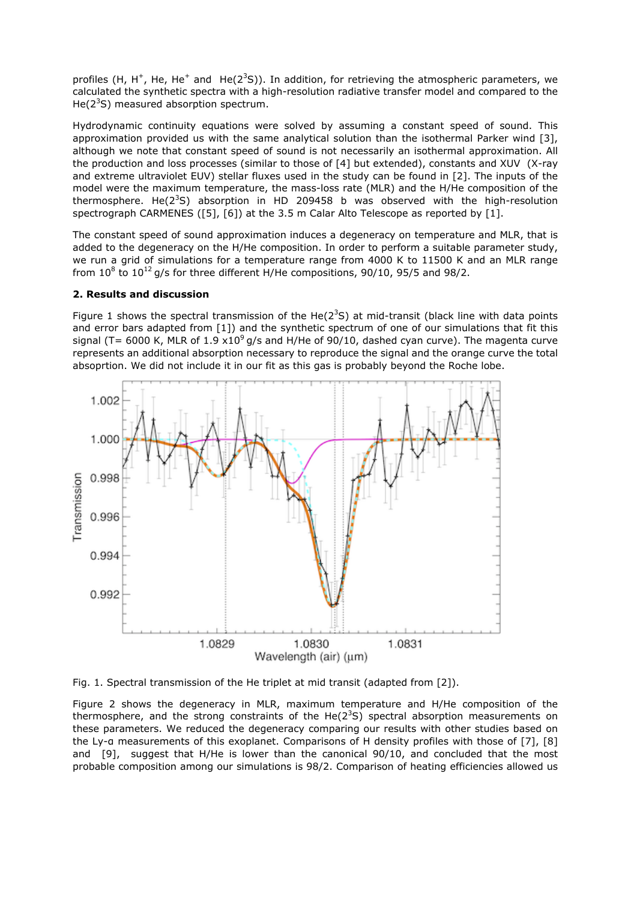profiles (H, H<sup>+</sup>, He, He<sup>+</sup> and He(2<sup>3</sup>S)). In addition, for retrieving the atmospheric parameters, we calculated the synthetic spectra with a high-resolution radiative transfer model and compared to the He( $2<sup>3</sup>S$ ) measured absorption spectrum.

Hydrodynamic continuity equations were solved by assuming a constant speed of sound. This approximation provided us with the same analytical solution than the isothermal Parker wind [3], although we note that constant speed of sound is not necessarily an isothermal approximation. All the production and loss processes (similar to those of [4] but extended), constants and XUV (X-ray and extreme ultraviolet EUV) stellar fluxes used in the study can be found in [2]. The inputs of the model were the maximum temperature, the mass-loss rate (MLR) and the H/He composition of the thermosphere. He( $2^{3}S$ ) absorption in HD 209458 b was observed with the high-resolution spectrograph CARMENES ([5], [6]) at the 3.5 m Calar Alto Telescope as reported by [1].

The constant speed of sound approximation induces a degeneracy on temperature and MLR, that is added to the degeneracy on the H/He composition. In order to perform a suitable parameter study, we run a grid of simulations for a temperature range from 4000 K to 11500 K and an MLR range from  $10^8$  to  $10^{12}$  g/s for three different H/He compositions, 90/10, 95/5 and 98/2.

## **2. Results and discussion**

Figure 1 shows the spectral transmission of the He( $2<sup>3</sup>S$ ) at mid-transit (black line with data points and error bars adapted from [1]) and the synthetic spectrum of one of our simulations that fit this signal (T= 6000 K, MLR of 1.9  $x10^9$  g/s and H/He of 90/10, dashed cyan curve). The magenta curve represents an additional absorption necessary to reproduce the signal and the orange curve the total absoprtion. We did not include it in our fit as this gas is probably beyond the Roche lobe.



Fig. 1. Spectral transmission of the He triplet at mid transit (adapted from [2]).

Figure 2 shows the degeneracy in MLR, maximum temperature and H/He composition of the thermosphere, and the strong constraints of the He( $2<sup>3</sup>S$ ) spectral absorption measurements on these parameters. We reduced the degeneracy comparing our results with other studies based on the Ly-α measurements of this exoplanet. Comparisons of H density profiles with those of [7], [8] and [9], suggest that H/He is lower than the canonical 90/10, and concluded that the most probable composition among our simulations is 98/2. Comparison of heating efficiencies allowed us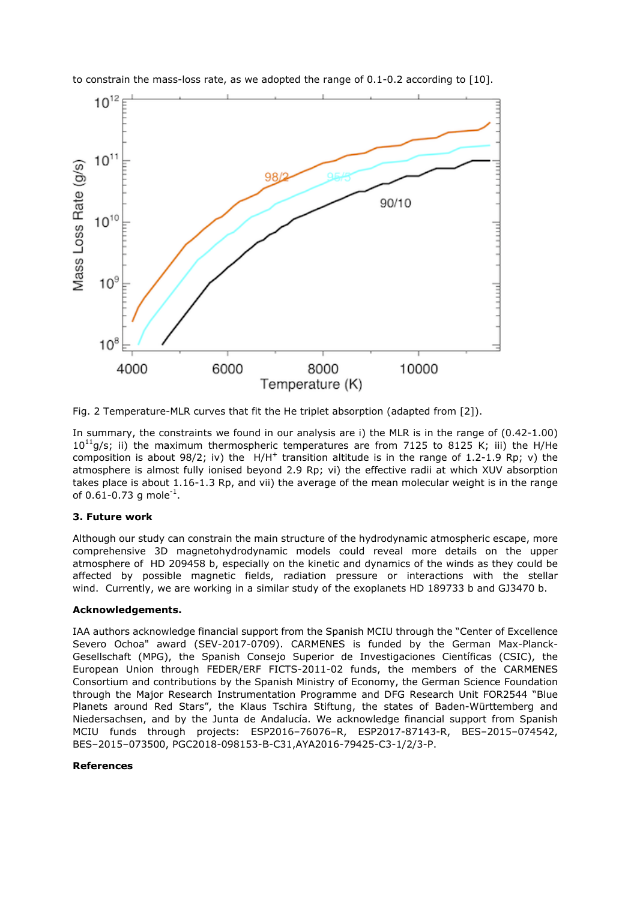

to constrain the mass-loss rate, as we adopted the range of 0.1-0.2 according to [10].

Fig. 2 Temperature-MLR curves that fit the He triplet absorption (adapted from [2]).

In summary, the constraints we found in our analysis are i) the MLR is in the range of (0.42-1.00)  $10^{11}$ g/s; ii) the maximum thermospheric temperatures are from 7125 to 8125 K; iii) the H/He composition is about  $98/2$ ; iv) the  $H/H^+$  transition altitude is in the range of 1.2-1.9 Rp; v) the atmosphere is almost fully ionised beyond 2.9 Rp; vi) the effective radii at which XUV absorption takes place is about 1.16-1.3 Rp, and vii) the average of the mean molecular weight is in the range of 0.61-0.73 g mole $^{-1}$ .

## **3. Future work**

Although our study can constrain the main structure of the hydrodynamic atmospheric escape, more comprehensive 3D magnetohydrodynamic models could reveal more details on the upper atmosphere of HD 209458 b, especially on the kinetic and dynamics of the winds as they could be affected by possible magnetic fields, radiation pressure or interactions with the stellar wind. Currently, we are working in a similar study of the exoplanets HD 189733 b and GJ3470 b.

## **Acknowledgements.**

IAA authors acknowledge financial support from the Spanish MCIU through the "Center of Excellence Severo Ochoa" award (SEV-2017-0709). CARMENES is funded by the German Max-Planck-Gesellschaft (MPG), the Spanish Consejo Superior de Investigaciones Científicas (CSIC), the European Union through FEDER/ERF FICTS-2011-02 funds, the members of the CARMENES Consortium and contributions by the Spanish Ministry of Economy, the German Science Foundation through the Major Research Instrumentation Programme and DFG Research Unit FOR2544 "Blue Planets around Red Stars", the Klaus Tschira Stiftung, the states of Baden-Württemberg and Niedersachsen, and by the Junta de Andalucía. We acknowledge financial support from Spanish MCIU funds through projects: ESP2016–76076–R, ESP2017-87143-R, BES–2015–074542, BES–2015–073500, PGC2018-098153-B-C31,AYA2016-79425-C3-1/2/3-P.

## **References**